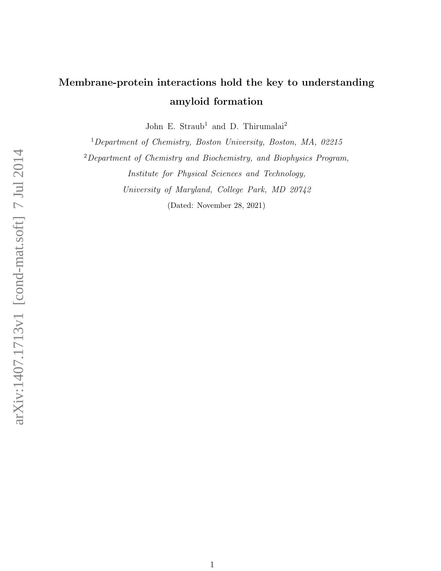## Membrane-protein interactions hold the key to understanding amyloid formation

John E. Straub<sup>1</sup> and D. Thirumalai<sup>2</sup>

<sup>1</sup>Department of Chemistry, Boston University, Boston, MA, 02215

<sup>2</sup>Department of Chemistry and Biochemistry, and Biophysics Program, Institute for Physical Sciences and Technology,

University of Maryland, College Park, MD 20742

(Dated: November 28, 2021)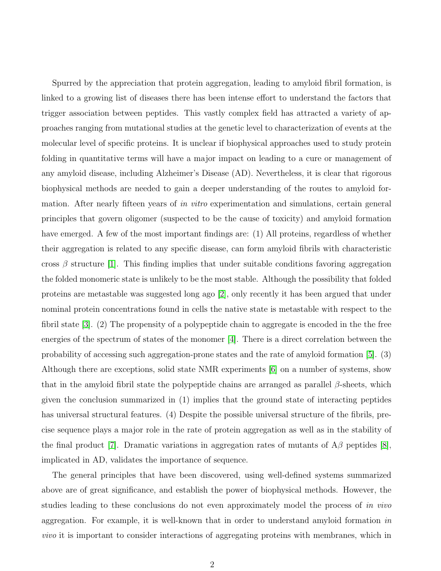Spurred by the appreciation that protein aggregation, leading to amyloid fibril formation, is linked to a growing list of diseases there has been intense effort to understand the factors that trigger association between peptides. This vastly complex field has attracted a variety of approaches ranging from mutational studies at the genetic level to characterization of events at the molecular level of specific proteins. It is unclear if biophysical approaches used to study protein folding in quantitative terms will have a major impact on leading to a cure or management of any amyloid disease, including Alzheimer's Disease (AD). Nevertheless, it is clear that rigorous biophysical methods are needed to gain a deeper understanding of the routes to amyloid formation. After nearly fifteen years of in vitro experimentation and simulations, certain general principles that govern oligomer (suspected to be the cause of toxicity) and amyloid formation have emerged. A few of the most important findings are: (1) All proteins, regardless of whether their aggregation is related to any specific disease, can form amyloid fibrils with characteristic cross  $\beta$  structure [\[1\]](#page-4-0). This finding implies that under suitable conditions favoring aggregation the folded monomeric state is unlikely to be the most stable. Although the possibility that folded proteins are metastable was suggested long ago [\[2\]](#page-4-1), only recently it has been argued that under nominal protein concentrations found in cells the native state is metastable with respect to the fibril state [\[3\]](#page-4-2). (2) The propensity of a polypeptide chain to aggregate is encoded in the the free energies of the spectrum of states of the monomer [\[4\]](#page-4-3). There is a direct correlation between the probability of accessing such aggregation-prone states and the rate of amyloid formation [\[5\]](#page-4-4). (3) Although there are exceptions, solid state NMR experiments [\[6\]](#page-4-5) on a number of systems, show that in the amyloid fibril state the polypeptide chains are arranged as parallel  $\beta$ -sheets, which given the conclusion summarized in (1) implies that the ground state of interacting peptides has universal structural features. (4) Despite the possible universal structure of the fibrils, precise sequence plays a major role in the rate of protein aggregation as well as in the stability of the final product [\[7\]](#page-4-6). Dramatic variations in aggregation rates of mutants of  $A\beta$  peptides [\[8\]](#page-4-7), implicated in AD, validates the importance of sequence.

The general principles that have been discovered, using well-defined systems summarized above are of great significance, and establish the power of biophysical methods. However, the studies leading to these conclusions do not even approximately model the process of in vivo aggregation. For example, it is well-known that in order to understand amyloid formation in vivo it is important to consider interactions of aggregating proteins with membranes, which in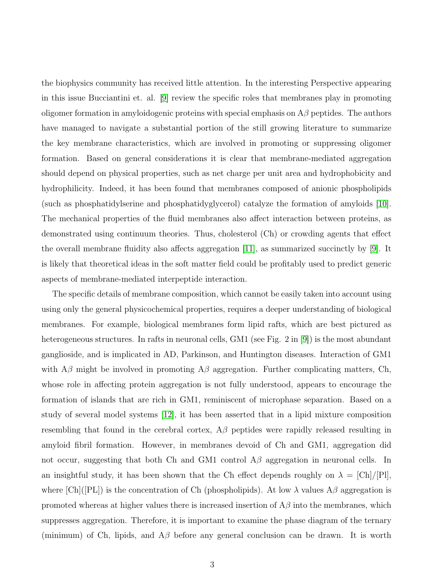the biophysics community has received little attention. In the interesting Perspective appearing in this issue Bucciantini et. al. [\[9\]](#page-4-8) review the specific roles that membranes play in promoting oligomer formation in amyloidogenic proteins with special emphasis on  $A\beta$  peptides. The authors have managed to navigate a substantial portion of the still growing literature to summarize the key membrane characteristics, which are involved in promoting or suppressing oligomer formation. Based on general considerations it is clear that membrane-mediated aggregation should depend on physical properties, such as net charge per unit area and hydrophobicity and hydrophilicity. Indeed, it has been found that membranes composed of anionic phospholipids (such as phosphatidylserine and phosphatidyglycerol) catalyze the formation of amyloids [\[10\]](#page-4-9). The mechanical properties of the fluid membranes also affect interaction between proteins, as demonstrated using continuum theories. Thus, cholesterol (Ch) or crowding agents that effect the overall membrane fluidity also affects aggregation [\[11\]](#page-4-10), as summarized succinctly by [\[9\]](#page-4-8). It is likely that theoretical ideas in the soft matter field could be profitably used to predict generic aspects of membrane-mediated interpeptide interaction.

The specific details of membrane composition, which cannot be easily taken into account using using only the general physicochemical properties, requires a deeper understanding of biological membranes. For example, biological membranes form lipid rafts, which are best pictured as heterogeneous structures. In rafts in neuronal cells, GM1 (see Fig. 2 in [\[9\]](#page-4-8)) is the most abundant ganglioside, and is implicated in AD, Parkinson, and Huntington diseases. Interaction of GM1 with  $A\beta$  might be involved in promoting  $A\beta$  aggregation. Further complicating matters, Ch, whose role in affecting protein aggregation is not fully understood, appears to encourage the formation of islands that are rich in GM1, reminiscent of microphase separation. Based on a study of several model systems [\[12\]](#page-4-11), it has been asserted that in a lipid mixture composition resembling that found in the cerebral cortex,  $A\beta$  peptides were rapidly released resulting in amyloid fibril formation. However, in membranes devoid of Ch and GM1, aggregation did not occur, suggesting that both Ch and GM1 control  $A\beta$  aggregation in neuronal cells. In an insightful study, it has been shown that the Ch effect depends roughly on  $\lambda = [\mathrm{Ch}]/[\mathrm{Pl}],$ where  $[Ch]([PL])$  is the concentration of Ch (phospholipids). At low  $\lambda$  values A $\beta$  aggregation is promoted whereas at higher values there is increased insertion of  $A\beta$  into the membranes, which suppresses aggregation. Therefore, it is important to examine the phase diagram of the ternary (minimum) of Ch, lipids, and  $\mathcal{A}\beta$  before any general conclusion can be drawn. It is worth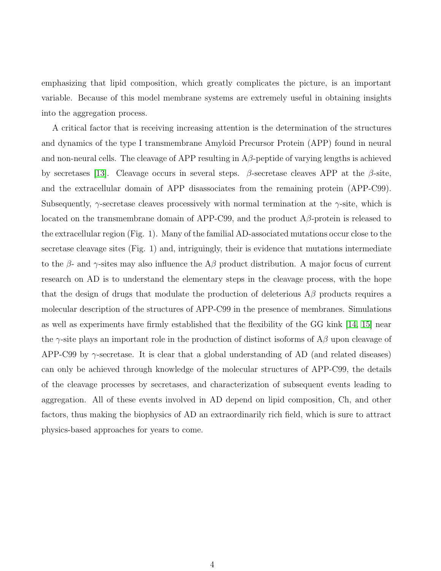emphasizing that lipid composition, which greatly complicates the picture, is an important variable. Because of this model membrane systems are extremely useful in obtaining insights into the aggregation process.

A critical factor that is receiving increasing attention is the determination of the structures and dynamics of the type I transmembrane Amyloid Precursor Protein (APP) found in neural and non-neural cells. The cleavage of APP resulting in  $A\beta$ -peptide of varying lengths is achieved by secretases [\[13\]](#page-4-12). Cleavage occurs in several steps. β-secretase cleaves APP at the β-site, and the extracellular domain of APP disassociates from the remaining protein (APP-C99). Subsequently,  $\gamma$ -secretase cleaves processively with normal termination at the  $\gamma$ -site, which is located on the transmembrane domain of APP-C99, and the product  $A\beta$ -protein is released to the extracellular region (Fig. 1). Many of the familial AD-associated mutations occur close to the secretase cleavage sites (Fig. 1) and, intriguingly, their is evidence that mutations intermediate to the  $\beta$ - and  $\gamma$ -sites may also influence the A $\beta$  product distribution. A major focus of current research on AD is to understand the elementary steps in the cleavage process, with the hope that the design of drugs that modulate the production of deleterious  $A\beta$  products requires a molecular description of the structures of APP-C99 in the presence of membranes. Simulations as well as experiments have firmly established that the flexibility of the GG kink [\[14,](#page-4-13) [15\]](#page-4-14) near the  $\gamma$ -site plays an important role in the production of distinct isoforms of A $\beta$  upon cleavage of APP-C99 by  $\gamma$ -secretase. It is clear that a global understanding of AD (and related diseases) can only be achieved through knowledge of the molecular structures of APP-C99, the details of the cleavage processes by secretases, and characterization of subsequent events leading to aggregation. All of these events involved in AD depend on lipid composition, Ch, and other factors, thus making the biophysics of AD an extraordinarily rich field, which is sure to attract physics-based approaches for years to come.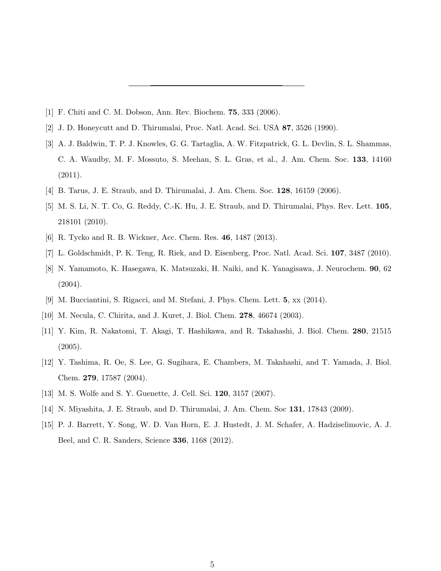- <span id="page-4-1"></span><span id="page-4-0"></span>[1] F. Chiti and C. M. Dobson, Ann. Rev. Biochem. 75, 333 (2006).
- <span id="page-4-2"></span>[2] J. D. Honeycutt and D. Thirumalai, Proc. Natl. Acad. Sci. USA 87, 3526 (1990).
- [3] A. J. Baldwin, T. P. J. Knowles, G. G. Tartaglia, A. W. Fitzpatrick, G. L. Devlin, S. L. Shammas, C. A. Waudby, M. F. Mossuto, S. Meehan, S. L. Gras, et al., J. Am. Chem. Soc. 133, 14160 (2011).
- <span id="page-4-4"></span><span id="page-4-3"></span>[4] B. Tarus, J. E. Straub, and D. Thirumalai, J. Am. Chem. Soc. 128, 16159 (2006).
- [5] M. S. Li, N. T. Co, G. Reddy, C.-K. Hu, J. E. Straub, and D. Thirumalai, Phys. Rev. Lett. 105, 218101 (2010).
- <span id="page-4-6"></span><span id="page-4-5"></span>[6] R. Tycko and R. B. Wickner, Acc. Chem. Res. 46, 1487 (2013).
- <span id="page-4-7"></span>[7] L. Goldschmidt, P. K. Teng, R. Riek, and D. Eisenberg, Proc. Natl. Acad. Sci. 107, 3487 (2010).
- [8] N. Yamamoto, K. Hasegawa, K. Matsuzaki, H. Naiki, and K. Yanagisawa, J. Neurochem. 90, 62 (2004).
- <span id="page-4-9"></span><span id="page-4-8"></span>[9] M. Bucciantini, S. Rigacci, and M. Stefani, J. Phys. Chem. Lett. 5, xx (2014).
- <span id="page-4-10"></span>[10] M. Necula, C. Chirita, and J. Kuret, J. Biol. Chem. 278, 46674 (2003).
- [11] Y. Kim, R. Nakatomi, T. Akagi, T. Hashikawa, and R. Takahashi, J. Biol. Chem. 280, 21515 (2005).
- <span id="page-4-11"></span>[12] Y. Tashima, R. Oe, S. Lee, G. Sugihara, E. Chambers, M. Takahashi, and T. Yamada, J. Biol. Chem. 279, 17587 (2004).
- <span id="page-4-13"></span><span id="page-4-12"></span>[13] M. S. Wolfe and S. Y. Guenette, J. Cell. Sci. 120, 3157 (2007).
- <span id="page-4-14"></span>[14] N. Miyashita, J. E. Straub, and D. Thirumalai, J. Am. Chem. Soc 131, 17843 (2009).
- [15] P. J. Barrett, Y. Song, W. D. Van Horn, E. J. Hustedt, J. M. Schafer, A. Hadziselimovic, A. J. Beel, and C. R. Sanders, Science 336, 1168 (2012).